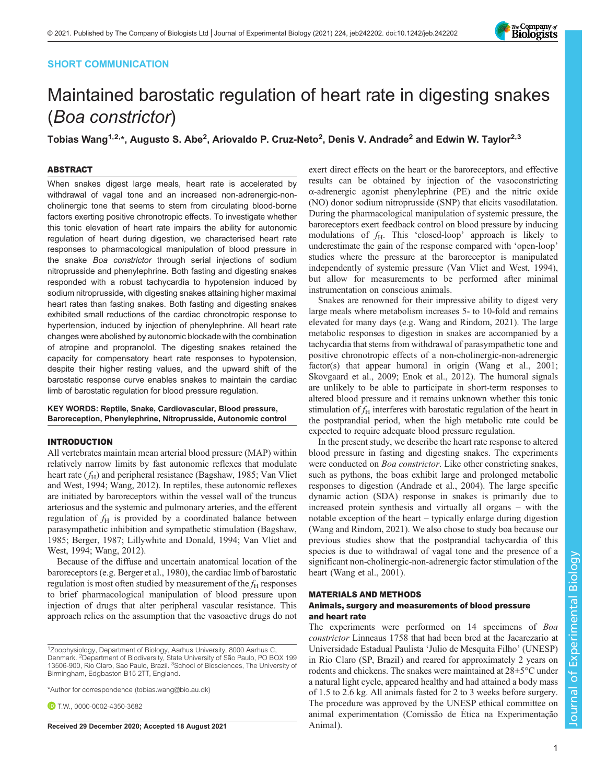# SHORT COMMUNICATION



# Maintained barostatic regulation of heart rate in digesting snakes (Boa constrictor)

Tobias Wang<sup>1,2,</sup>\*, Augusto S. Abe<sup>2</sup>, Ariovaldo P. Cruz-Neto<sup>2</sup>, Denis V. Andrade<sup>2</sup> and Edwin W. Taylor<sup>2,3</sup>

### ABSTRACT

When snakes digest large meals, heart rate is accelerated by withdrawal of vagal tone and an increased non-adrenergic-noncholinergic tone that seems to stem from circulating blood-borne factors exerting positive chronotropic effects. To investigate whether this tonic elevation of heart rate impairs the ability for autonomic regulation of heart during digestion, we characterised heart rate responses to pharmacological manipulation of blood pressure in the snake Boa constrictor through serial injections of sodium nitroprusside and phenylephrine. Both fasting and digesting snakes responded with a robust tachycardia to hypotension induced by sodium nitroprusside, with digesting snakes attaining higher maximal heart rates than fasting snakes. Both fasting and digesting snakes exhibited small reductions of the cardiac chronotropic response to hypertension, induced by injection of phenylephrine. All heart rate changes were abolished by autonomic blockade with the combination of atropine and propranolol. The digesting snakes retained the capacity for compensatory heart rate responses to hypotension, despite their higher resting values, and the upward shift of the barostatic response curve enables snakes to maintain the cardiac limb of barostatic regulation for blood pressure regulation.

KEY WORDS: Reptile, Snake, Cardiovascular, Blood pressure, Baroreception, Phenylephrine, Nitroprusside, Autonomic control

# INTRODUCTION

All vertebrates maintain mean arterial blood pressure (MAP) within relatively narrow limits by fast autonomic reflexes that modulate heart rate  $(f_H)$  and peripheral resistance ([Bagshaw, 1985;](#page-2-0) [Van Vliet](#page-3-0) [and West, 1994](#page-3-0); [Wang, 2012](#page-3-0)). In reptiles, these autonomic reflexes are initiated by baroreceptors within the vessel wall of the truncus arteriosus and the systemic and pulmonary arteries, and the efferent regulation of  $f_H$  is provided by a coordinated balance between parasympathetic inhibition and sympathetic stimulation [\(Bagshaw,](#page-2-0) [1985](#page-2-0); [Berger, 1987;](#page-2-0) [Lillywhite and Donald, 1994](#page-3-0); [Van Vliet and](#page-3-0) [West, 1994; Wang, 2012](#page-3-0)).

Because of the diffuse and uncertain anatomical location of the baroreceptors (e.g. [Berger et al., 1980\)](#page-2-0), the cardiac limb of barostatic regulation is most often studied by measurement of the  $f_H$  responses to brief pharmacological manipulation of blood pressure upon injection of drugs that alter peripheral vascular resistance. This approach relies on the assumption that the vasoactive drugs do not

\*Author for correspondence [\(tobias.wang@bio.au.dk\)](mailto:tobias.wang@bio.au.dk)

**D** T.W., [0000-0002-4350-3682](http://orcid.org/0000-0002-4350-3682)

Received 29 December 2020; Accepted 18 August 2021 Animal).

exert direct effects on the heart or the baroreceptors, and effective results can be obtained by injection of the vasoconstricting α-adrenergic agonist phenylephrine (PE) and the nitric oxide (NO) donor sodium nitroprusside (SNP) that elicits vasodilatation. During the pharmacological manipulation of systemic pressure, the baroreceptors exert feedback control on blood pressure by inducing modulations of  $f_H$ . This 'closed-loop' approach is likely to underestimate the gain of the response compared with 'open-loop' studies where the pressure at the baroreceptor is manipulated independently of systemic pressure ([Van Vliet and West, 1994\)](#page-3-0), but allow for measurements to be performed after minimal instrumentation on conscious animals.

Snakes are renowned for their impressive ability to digest very large meals where metabolism increases 5- to 10-fold and remains elevated for many days (e.g. [Wang and Rindom, 2021](#page-3-0)). The large metabolic responses to digestion in snakes are accompanied by a tachycardia that stems from withdrawal of parasympathetic tone and positive chronotropic effects of a non-cholinergic-non-adrenergic factor(s) that appear humoral in origin [\(Wang et al., 2001](#page-3-0); [Skovgaard et al., 2009;](#page-3-0) [Enok et al., 2012](#page-2-0)). The humoral signals are unlikely to be able to participate in short-term responses to altered blood pressure and it remains unknown whether this tonic stimulation of  $f_H$  interferes with barostatic regulation of the heart in the postprandial period, when the high metabolic rate could be expected to require adequate blood pressure regulation.

In the present study, we describe the heart rate response to altered blood pressure in fasting and digesting snakes. The experiments were conducted on *Boa constrictor*. Like other constricting snakes, such as pythons, the boas exhibit large and prolonged metabolic responses to digestion [\(Andrade et al., 2004\)](#page-2-0). The large specific dynamic action (SDA) response in snakes is primarily due to increased protein synthesis and virtually all organs – with the notable exception of the heart – typically enlarge during digestion [\(Wang and Rindom, 2021\)](#page-3-0). We also chose to study boa because our previous studies show that the postprandial tachycardia of this species is due to withdrawal of vagal tone and the presence of a significant non-cholinergic-non-adrenergic factor stimulation of the heart ([Wang et al., 2001](#page-3-0)).

#### MATERIALS AND METHODS

## Animals, surgery and measurements of blood pressure and heart rate

The experiments were performed on 14 specimens of Boa constrictor Linneaus 1758 that had been bred at the Jacarezario at Universidade Estadual Paulista 'Julio de Mesquita Filho' (UNESP) in Rio Claro (SP, Brazil) and reared for approximately 2 years on rodents and chickens. The snakes were maintained at 28±5°C under a natural light cycle, appeared healthy and had attained a body mass of 1.5 to 2.6 kg. All animals fasted for 2 to 3 weeks before surgery. The procedure was approved by the UNESP ethical committee on animal experimentation (Comissão de Ética na Experimentação

<sup>&</sup>lt;sup>1</sup>Zoophysiology, Department of Biology, Aarhus University, 8000 Aarhus C, Denmark. <sup>2</sup>Department of Biodiversity, State University of São Paulo, PO BOX 199 13506-900, Rio Claro, Sao Paulo, Brazil. <sup>3</sup>School of Biosciences, The University of Birmingham, Edgbaston B15 2TT, England.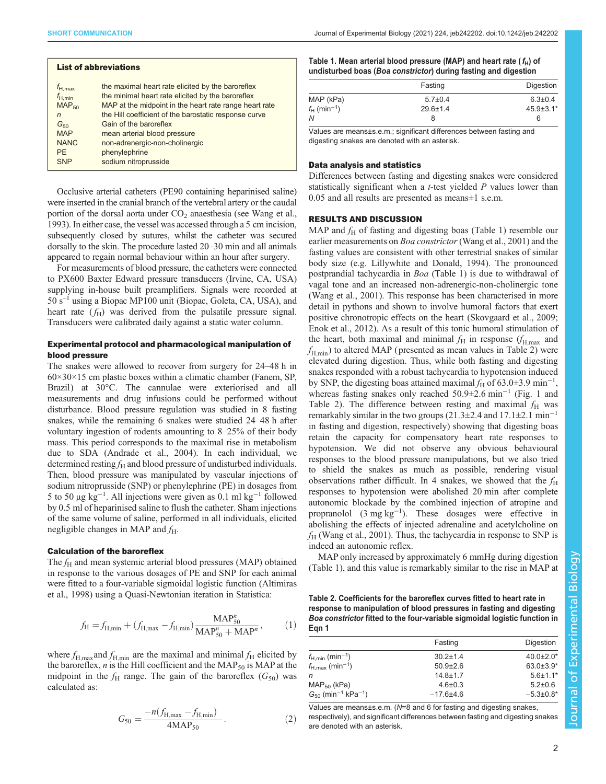<span id="page-1-0"></span>

| <b>List of abbreviations</b> |                                                        |  |  |
|------------------------------|--------------------------------------------------------|--|--|
| $f_{H, max}$                 | the maximal heart rate elicited by the baroreflex      |  |  |
| $f_{H,min}$                  | the minimal heart rate elicited by the baroreflex      |  |  |
| $MAP_{50}$                   | MAP at the midpoint in the heart rate range heart rate |  |  |
| n                            | the Hill coefficient of the barostatic response curve  |  |  |
| $G_{50}$                     | Gain of the baroreflex                                 |  |  |
| <b>MAP</b>                   | mean arterial blood pressure                           |  |  |
| <b>NANC</b>                  | non-adrenergic-non-cholinergic                         |  |  |
| PF.                          | phenylephrine                                          |  |  |
| SNP                          | sodium nitroprusside                                   |  |  |

Occlusive arterial catheters (PE90 containing heparinised saline) were inserted in the cranial branch of the vertebral artery or the caudal portion of the dorsal aorta under  $CO<sub>2</sub>$  anaesthesia (see [Wang et al.,](#page-3-0) [1993\)](#page-3-0). In either case, the vessel was accessed through a 5 cm incision, subsequently closed by sutures, whilst the catheter was secured dorsally to the skin. The procedure lasted 20–30 min and all animals appeared to regain normal behaviour within an hour after surgery.

For measurements of blood pressure, the catheters were connected to PX600 Baxter Edward pressure transducers (Irvine, CA, USA) supplying in-house built preamplifiers. Signals were recorded at  $50 s<sup>-1</sup>$  using a Biopac MP100 unit (Biopac, Goleta, CA, USA), and heart rate  $(f<sub>H</sub>)$  was derived from the pulsatile pressure signal. Transducers were calibrated daily against a static water column.

## Experimental protocol and pharmacological manipulation of blood pressure

The snakes were allowed to recover from surgery for 24–48 h in  $60\times30\times15$  cm plastic boxes within a climatic chamber (Fanem, SP, Brazil) at 30°C. The cannulae were exteriorised and all measurements and drug infusions could be performed without disturbance. Blood pressure regulation was studied in 8 fasting snakes, while the remaining 6 snakes were studied 24–48 h after voluntary ingestion of rodents amounting to 8–25% of their body mass. This period corresponds to the maximal rise in metabolism due to SDA [\(Andrade et al., 2004](#page-2-0)). In each individual, we determined resting  $f_H$  and blood pressure of undisturbed individuals. Then, blood pressure was manipulated by vascular injections of sodium nitroprusside (SNP) or phenylephrine (PE) in dosages from 5 to 50 μg kg−<sup>1</sup> . All injections were given as 0.1 ml kg−<sup>1</sup> followed by 0.5 ml of heparinised saline to flush the catheter. Sham injections of the same volume of saline, performed in all individuals, elicited negligible changes in MAP and  $f_H$ .

#### Calculation of the baroreflex

The  $f_H$  and mean systemic arterial blood pressures (MAP) obtained in response to the various dosages of PE and SNP for each animal were fitted to a four-variable sigmoidal logistic function ([Altimiras](#page-2-0) [et al., 1998\)](#page-2-0) using a Quasi-Newtonian iteration in Statistica:

$$
f_{\rm H} = f_{\rm H,min} + (f_{\rm H,max} - f_{\rm H,min}) \frac{\rm MAP_{50}^n}{\rm MAP_{50}^n + \rm MAP^n},\tag{1}
$$

where  $f_{H, \text{max}}$  and  $f_{H, \text{min}}$  are the maximal and minimal  $f_H$  elicited by the baroreflex,  $n$  is the Hill coefficient and the MAP<sub>50</sub> is MAP at the midpoint in the  $f<sub>H</sub>$  range. The gain of the baroreflex  $(G<sub>50</sub>)$  was calculated as:

$$
G_{50} = \frac{-n(f_{\text{H,max}} - f_{\text{H,min}})}{4\text{MAP}_{50}}.
$$
 (2)

Table 1. Mean arterial blood pressure (MAP) and heart rate ( $f_H$ ) of undisturbed boas (Boa constrictor) during fasting and digestion

|                            | Fasting        | Digestion        |
|----------------------------|----------------|------------------|
| MAP (kPa)                  | $5.7 \pm 0.4$  | $6.3 \pm 0.4$    |
| $f_H$ (min <sup>-1</sup> ) | $29.6 \pm 1.4$ | $45.9 \pm 3.1^*$ |
| N                          |                | 6                |

Values are means±s.e.m.; significant differences between fasting and digesting snakes are denoted with an asterisk.

#### Data analysis and statistics

Differences between fasting and digesting snakes were considered statistically significant when a t-test yielded P values lower than 0.05 and all results are presented as means±1 s.e.m.

## RESULTS AND DISCUSSION

MAP and  $f_H$  of fasting and digesting boas (Table 1) resemble our earlier measurements on Boa constrictor [\(Wang et al., 2001](#page-3-0)) and the fasting values are consistent with other terrestrial snakes of similar body size (e.g. [Lillywhite and Donald, 1994\)](#page-3-0). The pronounced postprandial tachycardia in Boa (Table 1) is due to withdrawal of vagal tone and an increased non-adrenergic-non-cholinergic tone [\(Wang et al., 2001](#page-3-0)). This response has been characterised in more detail in pythons and shown to involve humoral factors that exert positive chronotropic effects on the heart [\(Skovgaard et al., 2009](#page-3-0); [Enok et al., 2012](#page-2-0)). As a result of this tonic humoral stimulation of the heart, both maximal and minimal  $f_H$  in response  $(f_{H,\text{max}})$  and  $f_{\text{H,min}}$ ) to altered MAP (presented as mean values in Table 2) were elevated during digestion. Thus, while both fasting and digesting snakes responded with a robust tachycardia to hypotension induced by SNP, the digesting boas attained maximal  $f_H$  of 63.0±3.9 min<sup>-1</sup>, whereas fasting snakes only reached  $50.9\pm2.6$  min<sup>-1</sup> [\(Fig. 1](#page-2-0) and Table 2). The difference between resting and maximal  $f_{\rm H}$  was remarkably similar in the two groups  $(21.3\pm 2.4$  and  $17.1\pm 2.1$  min<sup>-1</sup> in fasting and digestion, respectively) showing that digesting boas retain the capacity for compensatory heart rate responses to hypotension. We did not observe any obvious behavioural responses to the blood pressure manipulations, but we also tried to shield the snakes as much as possible, rendering visual observations rather difficult. In 4 snakes, we showed that the  $f_{\rm H}$ responses to hypotension were abolished 20 min after complete autonomic blockade by the combined injection of atropine and propranolol (3 mg kg−<sup>1</sup> ). These dosages were effective in abolishing the effects of injected adrenaline and acetylcholine on  $f_H$  [\(Wang et al., 2001\)](#page-3-0). Thus, the tachycardia in response to SNP is indeed an autonomic reflex.

MAP only increased by approximately 6 mmHg during digestion (Table 1), and this value is remarkably similar to the rise in MAP at

Table 2. Coefficients for the baroreflex curves fitted to heart rate in response to manipulation of blood pressures in fasting and digesting Boa constrictor fitted to the four-variable sigmoidal logistic function in Eqn 1

|                                                 | Fasting        | Digestion        |  |
|-------------------------------------------------|----------------|------------------|--|
| $f_{\text{H,min}}$ (min <sup>-1</sup> )         | $30.2 \pm 1.4$ | $40.0 \pm 2.0^*$ |  |
| $f_{\rm H,max}$ (min <sup>-1</sup> )            | $50.9 \pm 2.6$ | $63.0 \pm 3.9^*$ |  |
| n                                               | $14.8 \pm 1.7$ | $5.6 \pm 1.1*$   |  |
| $MAP50$ (kPa)                                   | $4.6 \pm 0.3$  | $5.2 \pm 0.6$    |  |
| $G_{50}$ (min <sup>-1</sup> kPa <sup>-1</sup> ) | $-17.6 + 4.6$  | $-5.3 \pm 0.8^*$ |  |
|                                                 |                |                  |  |

Values are means±s.e.m. (N=8 and 6 for fasting and digesting snakes, respectively), and significant differences between fasting and digesting snakes are denoted with an asterisk.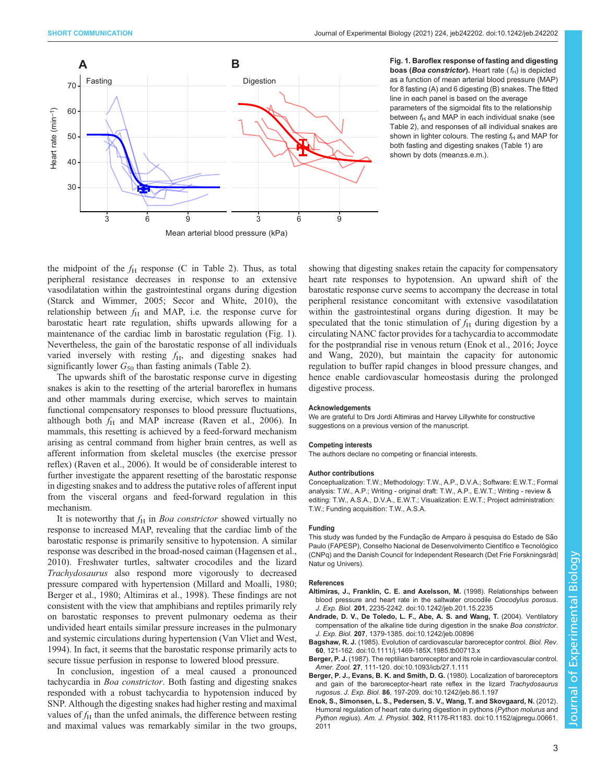<span id="page-2-0"></span>

boas (Boa constrictor). Heart rate  $(f_H)$  is depicted as a function of mean arterial blood pressure (MAP) for 8 fasting (A) and 6 digesting (B) snakes. The fitted line in each panel is based on the average parameters of the sigmoidal fits to the relationship between  $f_H$  and MAP in each individual snake (see [Table 2\)](#page-1-0), and responses of all individual snakes are shown in lighter colours. The resting  $f_H$  and MAP for both fasting and digesting snakes ([Table 1\)](#page-1-0) are shown by dots (mean±s.e.m.).

the midpoint of the  $f_{\rm H}$  response (C in [Table 2\)](#page-1-0). Thus, as total peripheral resistance decreases in response to an extensive vasodilatation within the gastrointestinal organs during digestion [\(Starck and Wimmer, 2005; Secor and White, 2010\)](#page-3-0), the relationship between  $f_H$  and MAP, i.e. the response curve for barostatic heart rate regulation, shifts upwards allowing for a maintenance of the cardiac limb in barostatic regulation (Fig. 1). Nevertheless, the gain of the barostatic response of all individuals varied inversely with resting  $f_H$ , and digesting snakes had significantly lower  $G_{50}$  than fasting animals ([Table 2](#page-1-0)).

The upwards shift of the barostatic response curve in digesting snakes is akin to the resetting of the arterial baroreflex in humans and other mammals during exercise, which serves to maintain functional compensatory responses to blood pressure fluctuations, although both  $f_H$  and MAP increase ([Raven et al., 2006](#page-3-0)). In mammals, this resetting is achieved by a feed-forward mechanism arising as central command from higher brain centres, as well as afferent information from skeletal muscles (the exercise pressor reflex) [\(Raven et al., 2006\)](#page-3-0). It would be of considerable interest to further investigate the apparent resetting of the barostatic response in digesting snakes and to address the putative roles of afferent input from the visceral organs and feed-forward regulation in this mechanism.

It is noteworthy that  $f_H$  in *Boa constrictor* showed virtually no response to increased MAP, revealing that the cardiac limb of the barostatic response is primarily sensitive to hypotension. A similar response was described in the broad-nosed caiman ([Hagensen et al.,](#page-3-0) [2010](#page-3-0)). Freshwater turtles, saltwater crocodiles and the lizard Trachydosaurus also respond more vigorously to decreased pressure compared with hypertension ([Millard and Moalli, 1980](#page-3-0); Berger et al., 1980; Altimiras et al., 1998). These findings are not consistent with the view that amphibians and reptiles primarily rely on barostatic responses to prevent pulmonary oedema as their undivided heart entails similar pressure increases in the pulmonary and systemic circulations during hypertension ([Van Vliet and West,](#page-3-0) [1994](#page-3-0)). In fact, it seems that the barostatic response primarily acts to secure tissue perfusion in response to lowered blood pressure.

In conclusion, ingestion of a meal caused a pronounced tachycardia in Boa constrictor. Both fasting and digesting snakes responded with a robust tachycardia to hypotension induced by SNP. Although the digesting snakes had higher resting and maximal values of  $f<sub>H</sub>$  than the unfed animals, the difference between resting and maximal values was remarkably similar in the two groups,

showing that digesting snakes retain the capacity for compensatory heart rate responses to hypotension. An upward shift of the barostatic response curve seems to accompany the decrease in total peripheral resistance concomitant with extensive vasodilatation within the gastrointestinal organs during digestion. It may be speculated that the tonic stimulation of  $f_H$  during digestion by a circulating NANC factor provides for a tachycardia to accommodate for the postprandial rise in venous return [\(Enok et al., 2016](#page-3-0); [Joyce](#page-3-0) [and Wang, 2020](#page-3-0)), but maintain the capacity for autonomic regulation to buffer rapid changes in blood pressure changes, and hence enable cardiovascular homeostasis during the prolonged digestive process.

#### Acknowledgements

We are grateful to Drs Jordi Altimiras and Harvey Lillywhite for constructive suggestions on a previous version of the manuscript.

#### Competing interests

The authors declare no competing or financial interests.

#### Author contributions

Conceptualization: T.W.; Methodology: T.W., A.P., D.V.A.; Software: E.W.T.; Formal analysis: T.W., A.P.; Writing - original draft: T.W., A.P., E.W.T.; Writing - review & editing: T.W., A.S.A., D.V.A., E.W.T.; Visualization: E.W.T.; Project administration: T.W.; Funding acquisition: T.W., A.S.A.

#### Funding

This study was funded by the Fundação de Amparo à pesquisa do Estado de São Paulo (FAPESP), Conselho Nacional de Desenvolvimento Científico e Tecnológico (CNPq) and the Danish Council for Independent Research (Det Frie Forskningsråd| Natur og Univers).

#### References

- [Altimiras, J., Franklin, C. E. and Axelsson, M.](https://doi.org/10.1242/jeb.201.15.2235) (1998). Relationships between [blood pressure and heart rate in the saltwater crocodile](https://doi.org/10.1242/jeb.201.15.2235) Crocodylus porosus. J. Exp. Biol. 201[, 2235-2242. doi:10.1242/jeb.201.15.2235](https://doi.org/10.1242/jeb.201.15.2235)
- [Andrade, D. V., De Toledo, L. F., Abe, A. S. and Wang, T.](https://doi.org/10.1242/jeb.00896) (2004). Ventilatory [compensation of the alkaline tide during digestion in the snake](https://doi.org/10.1242/jeb.00896) Boa constrictor. J. Exp. Biol. 207[, 1379-1385. doi:10.1242/jeb.00896](https://doi.org/10.1242/jeb.00896)
- Bagshaw, R. J. [\(1985\). Evolution of cardiovascular baroreceptor control.](https://doi.org/10.1111/j.1469-185X.1985.tb00713.x) Biol. Rev 60[, 121-162. doi:10.1111/j.1469-185X.1985.tb00713.x](https://doi.org/10.1111/j.1469-185X.1985.tb00713.x)
- Berger, P. J. [\(1987\). The reptilian baroreceptor and its role in cardiovascular control.](https://doi.org/10.1093/icb/27.1.111) Amer. Zool. 27[, 111-120. doi:10.1093/icb/27.1.111](https://doi.org/10.1093/icb/27.1.111)
- [Berger, P. J., Evans, B. K. and Smith, D. G.](https://doi.org/10.1242/jeb.86.1.197) (1980). Localization of baroreceptors [and gain of the baroreceptor-heart rate reflex in the lizard](https://doi.org/10.1242/jeb.86.1.197) Trachydosaurus rugosus. J. Exp. Biol. 86[, 197-209. doi:10.1242/jeb.86.1.197](https://doi.org/10.1242/jeb.86.1.197)
- [Enok, S., Simonsen, L. S., Pedersen, S. V., Wang, T. and Skovgaard, N.](https://doi.org/10.1152/ajpregu.00661.2011) (2012). [Humoral regulation of heart rate during digestion in pythons \(](https://doi.org/10.1152/ajpregu.00661.2011)Python molurus and Python regius). Am. J. Physiol. 302[, R1176-R1183. doi:10.1152/ajpregu.00661.](https://doi.org/10.1152/ajpregu.00661.2011) [2011](https://doi.org/10.1152/ajpregu.00661.2011)